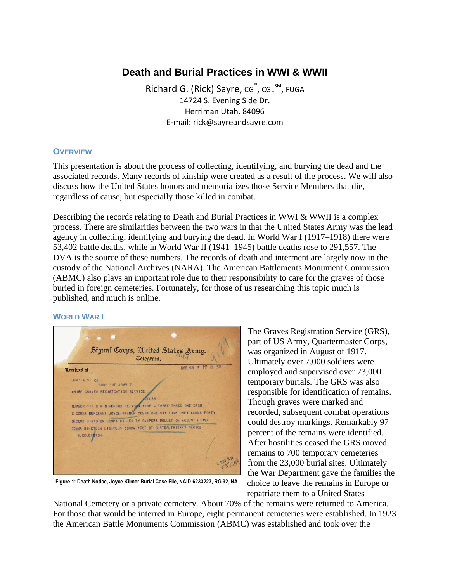# **Death and Burial Practices in WWI & WWII**

Richard G. (Rick) Sayre, cg<sup>®</sup>, cgL<sup>sM</sup>, FUGA 14724 S. Evening Side Dr. Herriman Utah, 84096 E-mail: rick@sayreandsayre.com

# **OVERVIEW**

This presentation is about the process of collecting, identifying, and burying the dead and the associated records. Many records of kinship were created as a result of the process. We will also discuss how the United States honors and memorializes those Service Members that die, regardless of cause, but especially those killed in combat.

Describing the records relating to Death and Burial Practices in WWI & WWII is a complex process. There are similarities between the two wars in that the United States Army was the lead agency in collecting, identifying and burying the dead. In World War I (1917–1918) there were 53,402 battle deaths, while in World War II (1941–1945) battle deaths rose to 291,557. The DVA is the source of these numbers. The records of death and interment are largely now in the custody of the National Archives (NARA). The American Battlements Monument Commission (ABMC) also plays an important role due to their responsibility to care for the graves of those buried in foreign cemeteries. Fortunately, for those of us researching this topic much is published, and much is online.

## **WORLD WAR I**



**Figure 1: Death Notice, Joyce Kilmer Burial Case File, NAID 6233223, RG 92, NA**

The Graves Registration Service (GRS), part of US Army, Quartermaster Corps, was organized in August of 1917. Ultimately over 7,000 soldiers were employed and supervised over 73,000 temporary burials. The GRS was also responsible for identification of remains. Though graves were marked and recorded, subsequent combat operations could destroy markings. Remarkably 97 percent of the remains were identified. After hostilities ceased the GRS moved remains to 700 temporary cemeteries from the 23,000 burial sites. Ultimately the War Department gave the families the choice to leave the remains in Europe or repatriate them to a United States

National Cemetery or a private cemetery. About 70% of the remains were returned to America. For those that would be interred in Europe, eight permanent cemeteries were established. In 1923 the American Battle Monuments Commission (ABMC) was established and took over the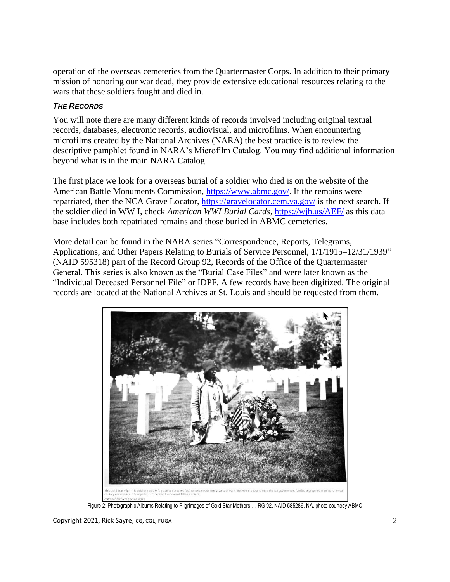operation of the overseas cemeteries from the Quartermaster Corps. In addition to their primary mission of honoring our war dead, they provide extensive educational resources relating to the wars that these soldiers fought and died in.

# *THE RECORDS*

You will note there are many different kinds of records involved including original textual records, databases, electronic records, audiovisual, and microfilms. When encountering microfilms created by the National Archives (NARA) the best practice is to review the descriptive pamphlet found in NARA's Microfilm Catalog. You may find additional information beyond what is in the main NARA Catalog.

The first place we look for a overseas burial of a soldier who died is on the website of the American Battle Monuments Commission, [https://www.abmc.gov/.](https://www.abmc.gov/) If the remains were repatriated, then the NCA Grave Locator,<https://gravelocator.cem.va.gov/> is the next search. If the soldier died in WW I, check *American WWI Burial Cards*, <https://wjh.us/AEF/> as this data base includes both repatriated remains and those buried in ABMC cemeteries.

More detail can be found in the NARA series "Correspondence, Reports, Telegrams, Applications, and Other Papers Relating to Burials of Service Personnel, 1/1/1915–12/31/1939" (NAID 595318) part of the Record Group 92, Records of the Office of the Quartermaster General. This series is also known as the "Burial Case Files" and were later known as the "Individual Deceased Personnel File" or IDPF. A few records have been digitized. The original records are located at the National Archives at St. Louis and should be requested from them.



Figure 2: Photographic Albums Relating to Pilgrimages of Gold Star Mothers…, RG 92, NAID 585286, NA, photo courtesy ABMC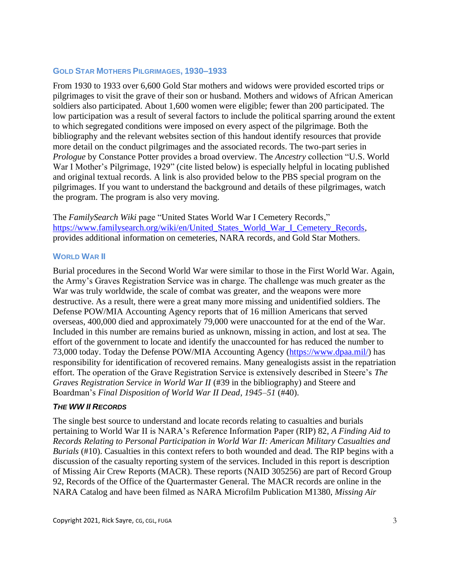#### **GOLD STAR MOTHERS PILGRIMAGES, 1930–1933**

From 1930 to 1933 over 6,600 Gold Star mothers and widows were provided escorted trips or pilgrimages to visit the grave of their son or husband. Mothers and widows of African American soldiers also participated. About 1,600 women were eligible; fewer than 200 participated. The low participation was a result of several factors to include the political sparring around the extent to which segregated conditions were imposed on every aspect of the pilgrimage. Both the bibliography and the relevant websites section of this handout identify resources that provide more detail on the conduct pilgrimages and the associated records. The two-part series in *Prologue* by Constance Potter provides a broad overview. The *Ancestry* collection "U.S. World War I Mother's Pilgrimage, 1929" (cite listed below) is especially helpful in locating published and original textual records. A link is also provided below to the PBS special program on the pilgrimages. If you want to understand the background and details of these pilgrimages, watch the program. The program is also very moving.

The *FamilySearch Wiki* page "United States World War I Cemetery Records," [https://www.familysearch.org/wiki/en/United\\_States\\_World\\_War\\_I\\_Cemetery\\_Records,](https://www.familysearch.org/wiki/en/United_States_World_War_I_Cemetery_Records) provides additional information on cemeteries, NARA records, and Gold Star Mothers.

#### **WORLD WAR II**

Burial procedures in the Second World War were similar to those in the First World War. Again, the Army's Graves Registration Service was in charge. The challenge was much greater as the War was truly worldwide, the scale of combat was greater, and the weapons were more destructive. As a result, there were a great many more missing and unidentified soldiers. The Defense POW/MIA Accounting Agency reports that of 16 million Americans that served overseas, 400,000 died and approximately 79,000 were unaccounted for at the end of the War. Included in this number are remains buried as unknown, missing in action, and lost at sea. The effort of the government to locate and identify the unaccounted for has reduced the number to 73,000 today. Today the Defense POW/MIA Accounting Agency [\(https://www.dpaa.mil/\)](https://www.dpaa.mil/) has responsibility for identification of recovered remains. Many genealogists assist in the repatriation effort. The operation of the Grave Registration Service is extensively described in Steere's *The Graves Registration Service in World War II* (#39 in the bibliography) and Steere and Boardman's *Final Disposition of World War II Dead, 1945–51* (#40).

## *THE WW II RECORDS*

The single best source to understand and locate records relating to casualties and burials pertaining to World War II is NARA's Reference Information Paper (RIP) 82, *A Finding Aid to Records Relating to Personal Participation in World War II: American Military Casualties and Burials* (#10). Casualties in this context refers to both wounded and dead. The RIP begins with a discussion of the casualty reporting system of the services. Included in this report is description of Missing Air Crew Reports (MACR). These reports (NAID 305256) are part of Record Group 92, Records of the Office of the Quartermaster General. The MACR records are online in the NARA Catalog and have been filmed as NARA Microfilm Publication M1380, *Missing Air*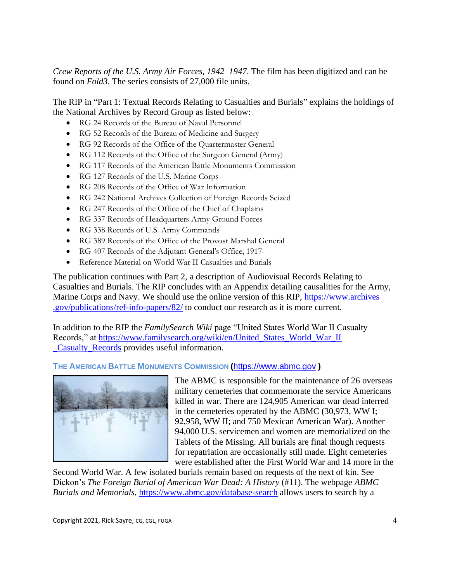*Crew Reports of the U.S. Army Air Forces, 1942–1947*. The film has been digitized and can be found on *Fold3*. The series consists of 27,000 file units.

The RIP in "Part 1: Textual Records Relating to Casualties and Burials" explains the holdings of the National Archives by Record Group as listed below:

- RG 24 Records of the Bureau of Naval Personnel
- RG 52 Records of the Bureau of Medicine and Surgery
- RG 92 Records of the Office of the Quartermaster General
- RG 112 Records of the Office of the Surgeon General (Army)
- RG 117 Records of the American Battle Monuments Commission
- RG 127 Records of the U.S. Marine Corps
- RG 208 Records of the Office of War Information
- RG 242 National Archives Collection of Foreign Records Seized
- RG 247 Records of the Office of the Chief of Chaplains
- RG 337 Records of Headquarters Army Ground Forces
- RG 338 Records of U.S. Army Commands
- RG 389 Records of the Office of the Provost Marshal General
- RG 407 Records of the Adjutant General's Office, 1917-
- Reference Material on World War II Casualties and Burials

The publication continues with Part 2, a description of Audiovisual Records Relating to Casualties and Burials. The RIP concludes with an Appendix detailing causalities for the Army, Marine Corps and Navy. We should use the online version of this RIP, [https://www.archives](https://www.archives.gov/publications/ref-info-papers/82/) [.gov/publications/ref-info-papers/82/](https://www.archives.gov/publications/ref-info-papers/82/) to conduct our research as it is more current.

In addition to the RIP the *FamilySearch Wiki* page "United States World War II Casualty Records," at [https://www.familysearch.org/wiki/en/United\\_States\\_World\\_War\\_II](https://www.familysearch.org/wiki/en/United_States_World_War_II_Casualty_Records) [\\_Casualty\\_Records](https://www.familysearch.org/wiki/en/United_States_World_War_II_Casualty_Records) provides useful information.

## **THE AMERICAN BATTLE MONUMENTS COMMISSION (**[https://www.abmc.gov](https://www.abmc.gov/) **)**



The ABMC is responsible for the maintenance of 26 overseas military cemeteries that commemorate the service Americans killed in war. There are 124,905 American war dead interred in the cemeteries operated by the ABMC (30,973, WW I; 92,958, WW II; and 750 Mexican American War). Another 94,000 U.S. servicemen and women are memorialized on the Tablets of the Missing. All burials are final though requests for repatriation are occasionally still made. Eight cemeteries were established after the First World War and 14 more in the

Second World War. A few isolated burials remain based on requests of the next of kin. See Dickon's *The Foreign Burial of American War Dead: A History* (#11). The webpage *ABMC Burials and Memorials*,<https://www.abmc.gov/database-search> allows users to search by a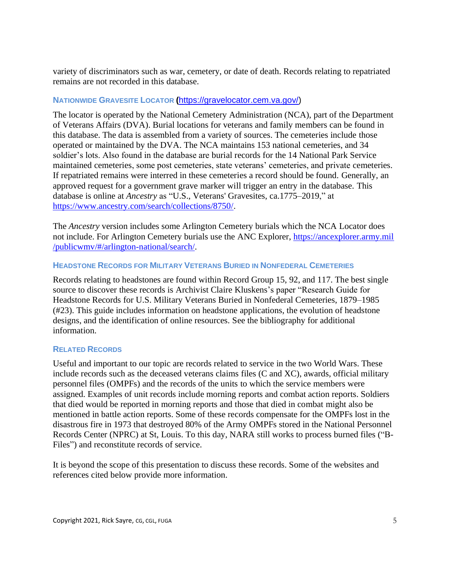variety of discriminators such as war, cemetery, or date of death. Records relating to repatriated remains are not recorded in this database.

# **NATIONWIDE GRAVESITE LOCATOR (**[https://gravelocator.cem.va.gov/\)](https://gravelocator.cem.va.gov/)

The locator is operated by the National Cemetery Administration (NCA), part of the Department of Veterans Affairs (DVA). Burial locations for veterans and family members can be found in this database. The data is assembled from a variety of sources. The cemeteries include those operated or maintained by the DVA. The NCA maintains 153 national cemeteries, and 34 soldier's lots. Also found in the database are burial records for the 14 National Park Service maintained cemeteries, some post cemeteries, state veterans' cemeteries, and private cemeteries. If repatriated remains were interred in these cemeteries a record should be found. Generally, an approved request for a government grave marker will trigger an entry in the database. This database is online at *Ancestry* as "U.S., Veterans' Gravesites, ca.1775–2019," at [https://www.ancestry.com/search/collections/8750/.](https://www.ancestry.com/search/collections/8750/)

The *Ancestry* version includes some Arlington Cemetery burials which the NCA Locator does not include. For Arlington Cemetery burials use the ANC Explorer, [https://ancexplorer.army.mil](https://ancexplorer.army.mil/publicwmv/#/arlington-national/search/) [/publicwmv/#/arlington-national/search/.](https://ancexplorer.army.mil/publicwmv/#/arlington-national/search/)

#### **HEADSTONE RECORDS FOR MILITARY VETERANS BURIED IN NONFEDERAL CEMETERIES**

Records relating to headstones are found within Record Group 15, 92, and 117. The best single source to discover these records is Archivist Claire Kluskens's paper "Research Guide for Headstone Records for U.S. Military Veterans Buried in Nonfederal Cemeteries, 1879–1985 (#23). This guide includes information on headstone applications, the evolution of headstone designs, and the identification of online resources. See the bibliography for additional information.

## **RELATED RECORDS**

Useful and important to our topic are records related to service in the two World Wars. These include records such as the deceased veterans claims files (C and XC), awards, official military personnel files (OMPFs) and the records of the units to which the service members were assigned. Examples of unit records include morning reports and combat action reports. Soldiers that died would be reported in morning reports and those that died in combat might also be mentioned in battle action reports. Some of these records compensate for the OMPFs lost in the disastrous fire in 1973 that destroyed 80% of the Army OMPFs stored in the National Personnel Records Center (NPRC) at St, Louis. To this day, NARA still works to process burned files ("B-Files") and reconstitute records of service.

It is beyond the scope of this presentation to discuss these records. Some of the websites and references cited below provide more information.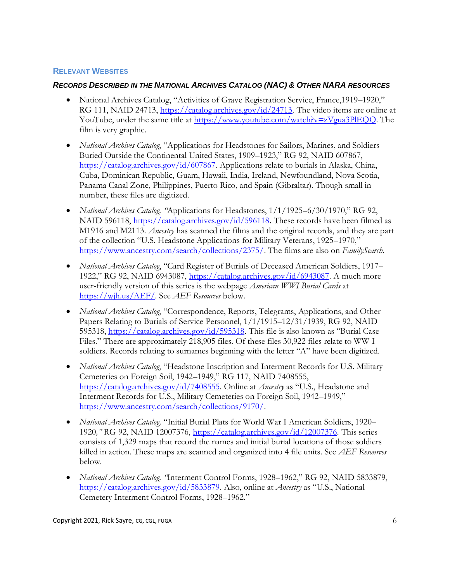#### **RELEVANT WEBSITES**

#### *RECORDS DESCRIBED IN THE NATIONAL ARCHIVES CATALOG (NAC) & OTHER NARA RESOURCES*

- National Archives Catalog, "Activities of Grave Registration Service, France,1919–1920," RG 111, NAID 24713, [https://catalog.archives.gov/id/24713.](https://catalog.archives.gov/id/24713) The video items are online at YouTube, under the same title at [https://www.youtube.com/watch?v=zVgua3PlEQQ.](https://www.youtube.com/watch?v=zVgua3PlEQQ) The film is very graphic.
- *National Archives Catalog*, "Applications for Headstones for Sailors, Marines, and Soldiers Buried Outside the Continental United States, 1909–1923," RG 92, NAID 607867, [https://catalog.archives.gov/id/607867.](https://catalog.archives.gov/id/607867) Applications relate to burials in Alaska, China, Cuba, Dominican Republic, Guam, Hawaii, India, Ireland, Newfoundland, Nova Scotia, Panama Canal Zone, Philippines, Puerto Rico, and Spain (Gibraltar). Though small in number, these files are digitized.
- *National Archives Catalog. "*Applications for Headstones, 1/1/1925–6/30/1970," RG 92, NAID 596118, [https://catalog.archives.gov/id/596118.](https://catalog.archives.gov/id/596118) These records have been filmed as M1916 and M2113. *Ancestry* has scanned the films and the original records, and they are part of the collection "U.S. Headstone Applications for Military Veterans, 1925–1970," [https://www.ancestry.com/search/collections/2375/.](https://www.ancestry.com/search/collections/2375/) The films are also on *FamilySearch*.
- *National Archives Catalog*, "Card Register of Burials of Deceased American Soldiers, 1917– 1922," RG 92, NAID 6943087, [https://catalog.archives.gov/id/6943087.](https://catalog.archives.gov/id/6943087) A much more user-friendly version of this series is the webpage *American WWI Burial Cards* at [https://wjh.us/AEF/.](https://wjh.us/AEF/) See *AEF Resources* below.
- *National Archives Catalog*, "Correspondence, Reports, Telegrams, Applications, and Other Papers Relating to Burials of Service Personnel, 1/1/1915–12/31/1939, RG 92, NAID 595318, [https://catalog.archives.gov/id/595318.](https://catalog.archives.gov/id/595318) This file is also known as "Burial Case Files." There are approximately 218,905 files. Of these files 30,922 files relate to WW I soldiers. Records relating to surnames beginning with the letter "A" have been digitized.
- *National Archives Catalog*, "Headstone Inscription and Interment Records for U.S. Military Cemeteries on Foreign Soil, 1942–1949," RG 117, NAID 7408555, [https://catalog.archives.gov/id/7408555.](https://catalog.archives.gov/id/7408555) Online at *Ancestry* as "U.S., Headstone and Interment Records for U.S., Military Cemeteries on Foreign Soil, 1942–1949," [https://www.ancestry.com/search/collections/9170/.](https://www.ancestry.com/search/collections/9170/)
- *National Archives Catalog,* "Initial Burial Plats for World War I American Soldiers, 1920– 1920*,"* RG 92, NAID 12007376, <https://catalog.archives.gov/id/12007376>*.* This series consists of 1,329 maps that record the names and initial burial locations of those soldiers killed in action. These maps are scanned and organized into 4 file units. See *AEF Resources* below.
- *National Archives Catalog, "*Interment Control Forms, 1928–1962," RG 92, NAID 5833879, [https://catalog.archives.gov/id/5833879.](https://catalog.archives.gov/id/5833879) Also, online at *Ancestry* as "U.S., National Cemetery Interment Control Forms, 1928–1962."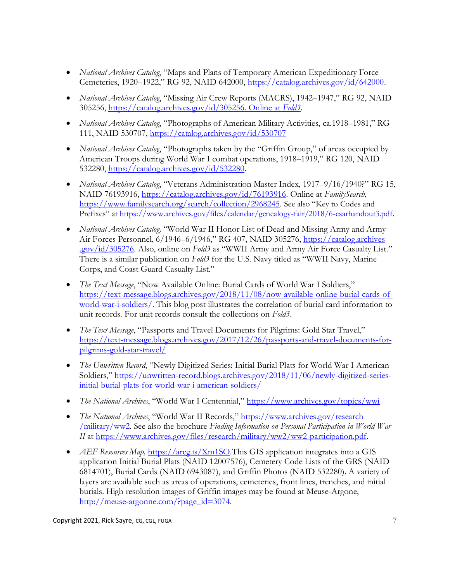- *National Archives Catalog*, "Maps and Plans of Temporary American Expeditionary Force Cemeteries, 1920–1922," RG 92, NAID 642000, [https://catalog.archives.gov/id/642000.](https://catalog.archives.gov/id/642000)
- *National Archives Catalog*, "Missing Air Crew Reports (MACRS), 1942–1947," RG 92, NAID 305256, [https://catalog.archives.gov/id/305256. Online at](https://catalog.archives.gov/id/305256.%20Online%20at%20Fold3) *Fold3*.
- *National Archives Catalog*, "Photographs of American Military Activities, ca.1918–1981," RG 111, NAID 530707,<https://catalog.archives.gov/id/530707>
- *National Archives Catalog*, "Photographs taken by the "Griffin Group," of areas occupied by American Troops during World War I combat operations, 1918–1919," RG 120, NAID 532280, [https://catalog.archives.gov/id/532280.](https://catalog.archives.gov/id/532280)
- *National Archives Catalog*, "Veterans Administration Master Index, 1917–9/16/1940?" RG 15, NAID 76193916, [https://catalog.archives.gov/id/76193916.](https://catalog.archives.gov/id/76193916) Online at *FamilySearch*, [https://www.familysearch.org/search/collection/2968245.](https://www.familysearch.org/search/collection/2968245) See also "Key to Codes and Prefixes" at [https://www.archives.gov/files/calendar/genealogy-fair/2018/6-csarhandout3.pdf.](https://www.archives.gov/files/calendar/genealogy-fair/2018/6-csarhandout3.pdf)
- *National Archives Catalog,* "World War II Honor List of Dead and Missing Army and Army Air Forces Personnel, 6/1946–6/1946," RG 407, NAID 305276[, https://catalog.archives](https://catalog.archives.gov/id/305276) [.gov/id/305276.](https://catalog.archives.gov/id/305276) Also, online on *Fold3* as "WWII Army and Army Air Force Casualty List." There is a similar publication on *Fold3* for the U.S. Navy titled as "WWII Navy, Marine Corps, and Coast Guard Casualty List."
- *The Text Message*, "Now Available Online: Burial Cards of World War I Soldiers," [https://text-message.blogs.archives.gov/2018/11/08/now-available-online-burial-cards-of](https://text-message.blogs.archives.gov/2018/11/08/now-available-online-burial-cards-of-world-war-i-soldiers/)[world-war-i-soldiers/.](https://text-message.blogs.archives.gov/2018/11/08/now-available-online-burial-cards-of-world-war-i-soldiers/) This blog post illustrates the correlation of burial card information to unit records. For unit records consult the collections on *Fold3*.
- *The Text Message*, "Passports and Travel Documents for Pilgrims: Gold Star Travel," [https://text-message.blogs.archives.gov/2017/12/26/passports-and-travel-documents-for](https://text-message.blogs.archives.gov/2017/12/26/passports-and-travel-documents-for-pilgrims-gold-star-travel/)[pilgrims-gold-star-travel/](https://text-message.blogs.archives.gov/2017/12/26/passports-and-travel-documents-for-pilgrims-gold-star-travel/)
- *The Unwritten Record*, "Newly Digitized Series: Initial Burial Plats for World War I American Soldiers," [https://unwritten-record.blogs.archives.gov/2018/11/06/newly-digitized-series](https://unwritten-record.blogs.archives.gov/2018/11/06/newly-digitized-series-initial-burial-plats-for-world-war-i-american-soldiers/)[initial-burial-plats-for-world-war-i-american-soldiers/](https://unwritten-record.blogs.archives.gov/2018/11/06/newly-digitized-series-initial-burial-plats-for-world-war-i-american-soldiers/)
- *The National Archives*, "World War I Centennial," <https://www.archives.gov/topics/wwi>
- *The National Archives*, "World War II Records," [https://www.archives.gov/research](https://www.archives.gov/research/military/ww2) [/military/ww2.](https://www.archives.gov/research/military/ww2) See also the brochure *Finding Information on Personal Participation in World War II* at [https://www.archives.gov/files/research/military/ww2/ww2-participation.pdf.](https://www.archives.gov/files/research/military/ww2/ww2-participation.pdf)
- *AEF Resources Map*, <https://arcg.is/Xm1SO>.This GIS application integrates into a GIS application Initial Burial Plats (NAID 12007576), Cemetery Code Lists of the GRS (NAID 6814701), Burial Cards (NAID 6943087), and Griffin Photos (NAID 532280). A variety of layers are available such as areas of operations, cemeteries, front lines, trenches, and initial burials. High resolution images of Griffin images may be found at Meuse-Argone, [http://meuse-argonne.com/?page\\_id=3074.](http://meuse-argonne.com/?page_id=3074)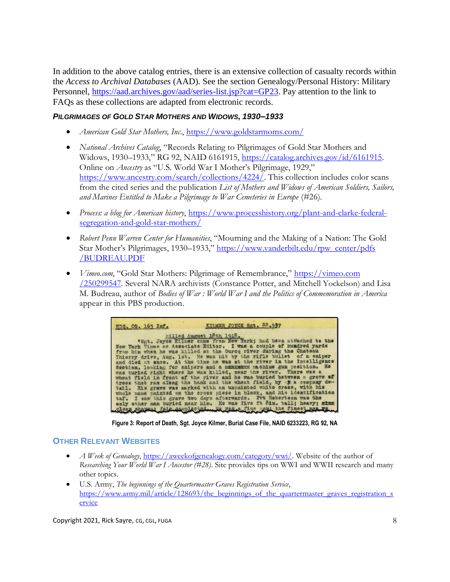In addition to the above catalog entries, there is an extensive collection of casualty records within the *Access to Archival Databases* (AAD). See the section Genealogy/Personal History: Military Personnel, [https://aad.archives.gov/aad/series-list.jsp?cat=GP23.](https://aad.archives.gov/aad/series-list.jsp?cat=GP23) Pay attention to the link to FAQs as these collections are adapted from electronic records.

# *PILGRIMAGES OF GOLD STAR MOTHERS AND WIDOWS, 1930–1933*

- *American Gold Star Mothers, Inc*.,<https://www.goldstarmoms.com/>
- *National Archives Catalog*, "Records Relating to Pilgrimages of Gold Star Mothers and Widows, 1930–1933," RG 92, NAID 6161915, [https://catalog.archives.gov/id/6161915.](https://catalog.archives.gov/id/6161915) Online on *Ancestry* as "U.S. World War I Mother's Pilgrimage, 1929," [https://www.ancestry.com/search/collections/4224/.](https://www.ancestry.com/search/collections/4224/) This collection includes color scans from the cited series and the publication *List of Mothers and Widows of American Soldiers, Sailors, and Marines Entitled to Make a Pilgrimage to War Cemeteries in Europe* (#26).
- *Process: a blog for American history*, [https://www.processhistory.org/plant-and-clarke-federal](https://www.processhistory.org/plant-and-clarke-federal-segregation-and-gold-star-mothers/)[segregation-and-gold-star-mothers/](https://www.processhistory.org/plant-and-clarke-federal-segregation-and-gold-star-mothers/)
- *Robert Penn Warren Center for Humanities*, "Mourning and the Making of a Nation: The Gold Star Mother's Pilgrimages, 1930–1933," [https://www.vanderbilt.edu/rpw\\_center/pdfs](https://www.vanderbilt.edu/rpw_center/pdfs/BUDREAU.PDF) [/BUDREAU.PDF](https://www.vanderbilt.edu/rpw_center/pdfs/BUDREAU.PDF)
- *Vimeo.com*, "Gold Star Mothers: Pilgrimage of Remembrance," [https://vimeo.com](https://vimeo.com/250299547) [/250299547.](https://vimeo.com/250299547) Several NARA archivists (Constance Potter, and Mitchell Yockelson) and Lisa M. Budreau, author of *Bodies of War : World War I and the Politics of Commemoration in America* appear in this PBS production.

| HDQ. CO. 165 Inf. | KILMER JOYCE Sgt. 88.537                                                                                                                        |
|-------------------|-------------------------------------------------------------------------------------------------------------------------------------------------|
|                   | killed August 18th 1918.<br>"Sat. Joyce Kilmer came from New York; had been attached to the                                                     |
|                   | New York Times as Associate Editor. I was a couple of hundred yards<br>from him when he was killed at the Ource river during the Chatsau        |
|                   | Thierry drive, Aug. 1st. He was hit by the rifle bullet of a smiper<br>and died at ence. At the time he was at the river in the Intelligence    |
|                   | Section. looking for snipers and a materaxx machine gun position. He<br>was buried right where he was killed, near the river. There was a       |
|                   | wheat field in front of the river and he was buried between a grove of<br>trees that ran along the bank and the wheat field, by * a company de- |
|                   | tail. His grave was marked with an unpainted white cross, with his                                                                              |
|                   | whole name painted on the cross piece in black, and his identification<br>taf. I saw this grave two days afterwards. Pvt Robertson was the      |
|                   | only other man buried mear him. He was five ft 8in. tall; heavy; minx<br>Clean shares; fair completed with valid fine part the finest men when  |

**Figure 3: Report of Death, Sgt. Joyce Kilmer, Burial Case File, NAID 6233223, RG 92, NA**

## **OTHER RELEVANT WEBSITES**

- *A Week of Genealogy*, [https://aweekofgenealogy.com/category/wwi/.](https://aweekofgenealogy.com/category/wwi/) Website of the author of *Researching Your World War I Ancestor (#28)*. Site provides tips on WWI and WWII research and many other topics.
- U.S. Army, *The beginnings of the Quartermaster Graves Registration Service*, [https://www.army.mil/article/128693/the\\_beginnings\\_of\\_the\\_quartermaster\\_graves\\_registration\\_s](https://www.army.mil/article/128693/the_beginnings_of_the_quartermaster_graves_registration_service) [ervice](https://www.army.mil/article/128693/the_beginnings_of_the_quartermaster_graves_registration_service)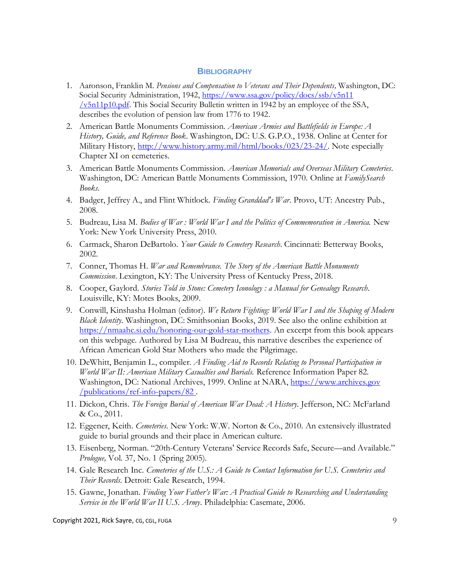#### **BIBLIOGRAPHY**

- 1. Aaronson, Franklin M. *Pensions and Compensation to Veterans and Their Dependents,* Washington, DC: Social Security Administration, 1942, [https://www.ssa.gov/policy/docs/ssb/v5n11](https://www.ssa.gov/policy/docs/ssb/v5n11/v5n11p10.pdf) [/v5n11p10.pdf.](https://www.ssa.gov/policy/docs/ssb/v5n11/v5n11p10.pdf) This Social Security Bulletin written in 1942 by an employee of the SSA, describes the evolution of pension law from 1776 to 1942.
- 2. American Battle Monuments Commission. *American Armies and Battlefields in Europe: A History, Guide, and Reference Book*. Washington, DC: U.S. G.P.O., 1938. Online at Center for Military History, [http://www.history.army.mil/html/books/023/23-24/.](http://www.history.army.mil/html/books/023/23-24/) Note especially Chapter XI on cemeteries.
- 3. American Battle Monuments Commission. *American Memorials and Overseas Military Cemeteries*. Washington, DC: American Battle Monuments Commission, 1970. Online at *FamilySearch Books*.
- 4. Badger, Jeffrey A., and Flint Whitlock. *Finding Granddad's War*. Provo, UT: Ancestry Pub., 2008.
- 5. Budreau, Lisa M. *Bodies of War : World War I and the Politics of Commemoration in America.* New York: New York University Press, 2010.
- 6. Carmack, Sharon DeBartolo. *Your Guide to Cemetery Research*. Cincinnati: Betterway Books, 2002.
- 7. Conner, Thomas H. *War and Remembrance. The Story of the American Battle Monuments Commission*. Lexington, KY: The University Press of Kentucky Press, 2018.
- 8. Cooper, Gaylord. *Stories Told in Stone: Cemetery Iconology : a Manual for Genealogy Research*. Louisville, KY: Motes Books, 2009.
- 9. Conwill, Kinshasha Holman (editor). *We Return Fighting: World War I and the Shaping of Modern Black Identity*. Washington, DC: Smithsonian Books, 2019. See also the online exhibition at [https://nmaahc.si.edu/honoring-our-gold-star-mothers.](https://nmaahc.si.edu/honoring-our-gold-star-mothers) An excerpt from this book appears on this webpage. Authored by Lisa M Budreau, this narrative describes the experience of African American Gold Star Mothers who made the Pilgrimage.
- 10. DeWhitt, Benjamin L., compiler. *A Finding Aid to Records Relating to Personal Participation in World War II: American Military Casualties and Burials.* Reference Information Paper 82*.*  Washington, DC: National Archives, 1999. Online at NARA, [https://www.archives.gov](https://www.archives.gov/publications/ref-info-papers/82) [/publications/ref-info-papers/82](https://www.archives.gov/publications/ref-info-papers/82) .
- 11. Dickon, Chris. *The Foreign Burial of American War Dead: A History*. Jefferson, NC: McFarland & Co., 2011.
- 12. Eggener, Keith. *Cemeteries*. New York: W.W. Norton & Co., 2010. An extensively illustrated guide to burial grounds and their place in American culture.
- 13. Eisenberg, Norman. "20th-Century Veterans' Service Records Safe, Secure—and Available." *Prologue,* Vol. 37, No. 1 (Spring 2005).
- 14. Gale Research Inc. *Cemeteries of the U.S.: A Guide to Contact Information for U.S. Cemeteries and Their Records*. Detroit: Gale Research, 1994.
- 15. Gawne, Jonathan. *Finding Your Father's War: A Practical Guide to Researching and Understanding Service in the World War II U.S. Army*. Philadelphia: Casemate, 2006.

Copyright 2021, Rick Sayre, CG, CGL, FUGA 9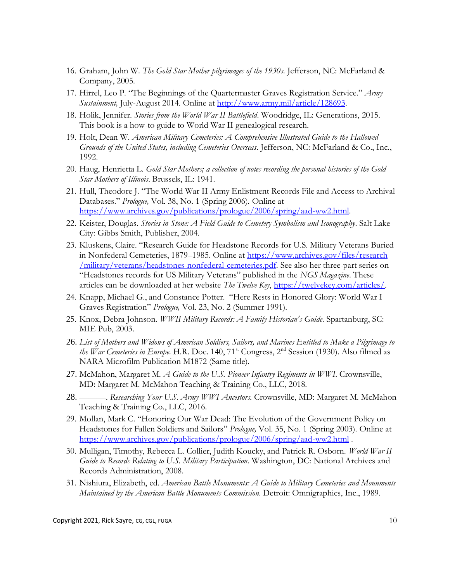- 16. Graham, John W. *The Gold Star Mother pilgrimages of the 1930s*. Jefferson, NC: McFarland & Company, 2005.
- 17. Hirrel, Leo P. "The Beginnings of the Quartermaster Graves Registration Service." *Army Sustainment,* July-August 2014. Online at [http://www.army.mil/article/128693.](http://www.army.mil/article/128693)
- 18. Holik, Jennifer. *Stories from the World War II Battlefield*. Woodridge, IL: Generations, 2015. This book is a how-to guide to World War II genealogical research.
- 19. Holt, Dean W. *American Military Cemeteries: A Comprehensive Illustrated Guide to the Hallowed Grounds of the United States, including Cemeteries Overseas*. Jefferson, NC: McFarland & Co., Inc., 1992.
- 20. Haug, Henrietta L. *Gold Star Mothers; a collection of notes recording the personal histories of the Gold Star Mothers of Illinois*. Brussels, IL: 1941.
- 21. Hull, Theodore J. "The World War II Army Enlistment Records File and Access to Archival Databases." *Prologue,* Vol. 38, No. 1 (Spring 2006). Online at [https://www.archives.gov/publications/prologue/2006/spring/aad-ww2.html.](https://www.archives.gov/publications/prologue/2006/spring/aad-ww2.html)
- 22. Keister, Douglas. *Stories in Stone: A Field Guide to Cemetery Symbolism and Iconography*. Salt Lake City: Gibbs Smith, Publisher, 2004.
- 23. Kluskens, Claire. "Research Guide for Headstone Records for U.S. Military Veterans Buried in Nonfederal Cemeteries, 1879–1985. Online at [https://www.archives.gov/files/research](https://www.archives.gov/files/research/military/veterans/headstones-nonfederal-cemeteries.pdf) [/military/veterans/headstones-nonfederal-cemeteries.pdf.](https://www.archives.gov/files/research/military/veterans/headstones-nonfederal-cemeteries.pdf) See also her three-part series on "Headstones records for US Military Veterans" published in the *NGS Magazine*. These articles can be downloaded at her website *The Twelve Key*, [https://twelvekey.com/articles/.](https://twelvekey.com/articles/)
- 24. Knapp, Michael G., and Constance Potter. "Here Rests in Honored Glory: World War I Graves Registration" *Prologue,* Vol. 23, No. 2 (Summer 1991).
- 25. Knox, Debra Johnson. *WWII Military Records: A Family Historian's Guide*. Spartanburg, SC: MIE Pub, 2003.
- 26. *List of Mothers and Widows of American Soldiers, Sailors, and Marines Entitled to Make a Pilgrimage to the War Cemeteries in Europe*. H.R. Doc. 140, 71<sup>st</sup> Congress, 2<sup>nd</sup> Session (1930). Also filmed as NARA Microfilm Publication M1872 (Same title).
- 27. McMahon, Margaret M. *A Guide to the U.S. Pioneer Infantry Regiments in WWI*. Crownsville, MD: Margaret M. McMahon Teaching & Training Co., LLC, 2018.
- 28. ———. *Researching Your U.S. Army WWI Ancestors*. Crownsville, MD: Margaret M. McMahon Teaching & Training Co., LLC, 2016.
- 29. Mollan, Mark C. "Honoring Our War Dead: The Evolution of the Government Policy on Headstones for Fallen Soldiers and Sailors" *Prologue,* Vol. 35, No. 1 (Spring 2003). Online at <https://www.archives.gov/publications/prologue/2006/spring/aad-ww2.html> .
- 30. Mulligan, Timothy, Rebecca L. Collier, Judith Koucky, and Patrick R. Osborn. *World War II Guide to Records Relating to U.S. Military Participation*. Washington, DC: National Archives and Records Administration, 2008.
- 31. Nishiura, Elizabeth, ed. *American Battle Monuments: A Guide to Military Cemeteries and Monuments Maintained by the American Battle Monuments Commission*. Detroit: Omnigraphics, Inc., 1989.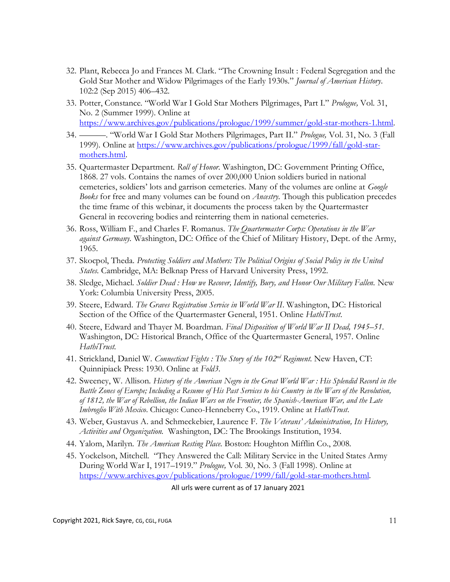- 32. Plant, Rebecca Jo and Frances M. Clark. "The Crowning Insult : Federal Segregation and the Gold Star Mother and Widow Pilgrimages of the Early 1930s." *Journal of American History*. 102:2 (Sep 2015) 406*–*432.
- 33. Potter, Constance. "World War I Gold Star Mothers Pilgrimages, Part I." *Prologue,* Vol. 31, No. 2 (Summer 1999). Online at [https://www.archives.gov/publications/prologue/1999/summer/gold-star-mothers-1.html.](https://www.archives.gov/publications/prologue/1999/summer/gold-star-mothers-1.html)
- 34. ———. "World War I Gold Star Mothers Pilgrimages, Part II." *Prologue,* Vol. 31, No. 3 (Fall 1999). Online at [https://www.archives.gov/publications/prologue/1999/fall/gold-star](https://www.archives.gov/publications/prologue/1999/fall/gold-star-mothers.html)[mothers.html.](https://www.archives.gov/publications/prologue/1999/fall/gold-star-mothers.html)
- 35. Quartermaster Department. *Roll of Honor.* Washington, DC: Government Printing Office, 1868. 27 vols. Contains the names of over 200,000 Union soldiers buried in national cemeteries, soldiers' lots and garrison cemeteries. Many of the volumes are online at *Google Books* for free and many volumes can be found on *Ancestry.* Though this publication precedes the time frame of this webinar, it documents the process taken by the Quartermaster General in recovering bodies and reinterring them in national cemeteries.
- 36. Ross, William F., and Charles F. Romanus. *The Quartermaster Corps: Operations in the War against Germany*. Washington, DC: Office of the Chief of Military History, Dept. of the Army, 1965.
- 37. Skocpol, Theda. *Protecting Soldiers and Mothers: The Political Origins of Social Policy in the United States.* Cambridge, MA: Belknap Press of Harvard University Press, 1992.
- 38. Sledge, Michael. *Soldier Dead : How we Recover, Identify, Bury, and Honor Our Military Fallen.* New York: Columbia University Press, 2005.
- 39. Steere, Edward. *The Graves Registration Service in World War II*. Washington, DC: Historical Section of the Office of the Quartermaster General, 1951. Online *HathiTrust*.
- 40. Steere, Edward and Thayer M. Boardman. *Final Disposition of World War II Dead, 1945–51*. Washington, DC: Historical Branch, Office of the Quartermaster General, 1957. Online *HathiTrust*.
- 41. Strickland, Daniel W. *Connecticut Fights : The Story of the 102nd Regiment*. New Haven, CT: Quinnipiack Press: 1930. Online at *Fold3*.
- 42. Sweeney, W. Allison. *History of the American Negro in the Great World War : His Splendid Record in the Battle Zones of Europe; Including a Resume of His Past Services to his Country in the Wars of the Revolution, of 1812, the War of Rebellion, the Indian Wars on the Frontier, the Spanish-American War, and the Late Imbroglio With Mexico*. Chicago: Cuneo-Henneberry Co., 1919. Online at *HathiTrust*.
- 43. Weber, Gustavus A. and Schmeckebier, Laurence F. *The Veterans' Administration, Its History, Activities and Organization.* Washington, DC: The Brookings Institution, 1934.
- 44. Yalom, Marilyn. *The American Resting Place*. Boston: Houghton Mifflin Co., 2008.
- 45. Yockelson, Mitchell. "They Answered the Call: Military Service in the United States Army During World War I, 1917–1919." *Prologue,* Vol. 30, No. 3 (Fall 1998). Online at [https://www.archives.gov/publications/prologue/1999/fall/gold-star-mothers.html.](https://www.archives.gov/publications/prologue/1999/fall/gold-star-mothers.html)

All urls were current as of 17 January 2021